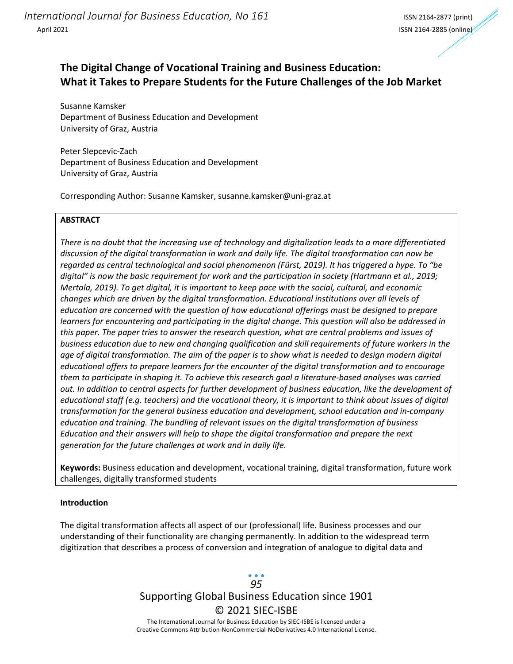# **The Digital Change of Vocational Training and Business Education: What it Takes to Prepare Students for the Future Challenges of the Job Market**

Susanne Kamsker Department of Business Education and Development University of Graz, Austria

Peter Slepcevic-Zach Department of Business Education and Development University of Graz, Austria

Corresponding Author: Susanne Kamsker, susanne.kamsker@uni-graz.at

## **ABSTRACT**

*There is no doubt that the increasing use of technology and digitalization leads to a more differentiated discussion of the digital transformation in work and daily life. The digital transformation can now be regarded as central technological and social phenomenon (Fürst, 2019). It has triggered a hype. To "be digital" is now the basic requirement for work and the participation in society (Hartmann et al., 2019; Mertala, 2019). To get digital, it is important to keep pace with the social, cultural, and economic changes which are driven by the digital transformation. Educational institutions over all levels of education are concerned with the question of how educational offerings must be designed to prepare learners for encountering and participating in the digital change. This question will also be addressed in this paper. The paper tries to answer the research question, what are central problems and issues of business education due to new and changing qualification and skill requirements of future workers in the age of digital transformation. The aim of the paper is to show what is needed to design modern digital educational offers to prepare learners for the encounter of the digital transformation and to encourage them to participate in shaping it. To achieve this research goal a literature-based analyses was carried out. In addition to central aspects for further development of business education, like the development of educational staff (e.g. teachers) and the vocational theory, it is important to think about issues of digital transformation for the general business education and development, school education and in-company education and training. The bundling of relevant issues on the digital transformation of business Education and their answers will help to shape the digital transformation and prepare the next generation for the future challenges at work and in daily life.* 

**Keywords:** Business education and development, vocational training, digital transformation, future work challenges, digitally transformed students

### **Introduction**

The digital transformation affects all aspect of our (professional) life. Business processes and our understanding of their functionality are changing permanently. In addition to the widespread term digitization that describes a process of conversion and integration of analogue to digital data and

> Supporting Global Business Education since 1901 © 2021 SIEC-ISBE The International Journal for Business Education by SIEC-ISBE is licensed under a *95*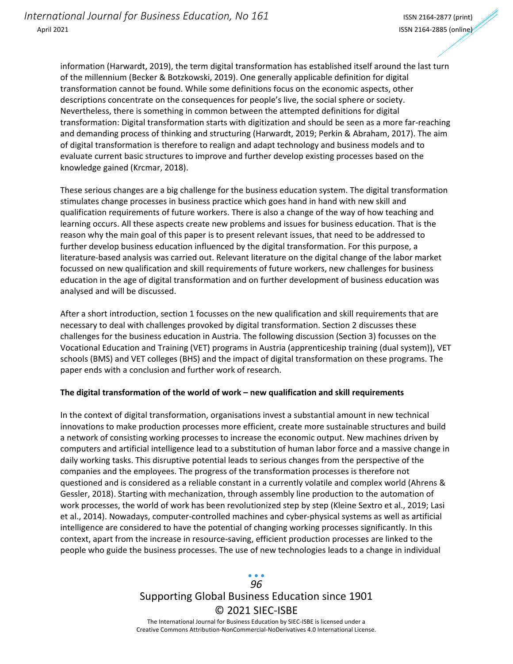information (Harwardt, 2019), the term digital transformation has established itself around the last turn of the millennium (Becker & Botzkowski, 2019). One generally applicable definition for digital transformation cannot be found. While some definitions focus on the economic aspects, other descriptions concentrate on the consequences for people's live, the social sphere or society. Nevertheless, there is something in common between the attempted definitions for digital transformation: Digital transformation starts with digitization and should be seen as a more far-reaching and demanding process of thinking and structuring (Harwardt, 2019; Perkin & Abraham, 2017). The aim of digital transformation is therefore to realign and adapt technology and business models and to evaluate current basic structures to improve and further develop existing processes based on the knowledge gained (Krcmar, 2018).

These serious changes are a big challenge for the business education system. The digital transformation stimulates change processes in business practice which goes hand in hand with new skill and qualification requirements of future workers. There is also a change of the way of how teaching and learning occurs. All these aspects create new problems and issues for business education. That is the reason why the main goal of this paper is to present relevant issues, that need to be addressed to further develop business education influenced by the digital transformation. For this purpose, a literature-based analysis was carried out. Relevant literature on the digital change of the labor market focussed on new qualification and skill requirements of future workers, new challenges for business education in the age of digital transformation and on further development of business education was analysed and will be discussed.

After a short introduction, section 1 focusses on the new qualification and skill requirements that are necessary to deal with challenges provoked by digital transformation. Section 2 discusses these challenges for the business education in Austria. The following discussion (Section 3) focusses on the Vocational Education and Training (VET) programs in Austria (apprenticeship training (dual system)), VET schools (BMS) and VET colleges (BHS) and the impact of digital transformation on these programs. The paper ends with a conclusion and further work of research.

### **The digital transformation of the world of work – new qualification and skill requirements**

In the context of digital transformation, organisations invest a substantial amount in new technical innovations to make production processes more efficient, create more sustainable structures and build a network of consisting working processes to increase the economic output. New machines driven by computers and artificial intelligence lead to a substitution of human labor force and a massive change in daily working tasks. This disruptive potential leads to serious changes from the perspective of the companies and the employees. The progress of the transformation processes is therefore not questioned and is considered as a reliable constant in a currently volatile and complex world (Ahrens & Gessler, 2018). Starting with mechanization, through assembly line production to the automation of work processes, the world of work has been revolutionized step by step (Kleine Sextro et al., 2019; Lasi et al., 2014). Nowadays, computer-controlled machines and cyber-physical systems as well as artificial intelligence are considered to have the potential of changing working processes significantly. In this context, apart from the increase in resource-saving, efficient production processes are linked to the people who guide the business processes. The use of new technologies leads to a change in individual

# Supporting Global Business Education since 1901 © 2021 SIEC-ISBE *96*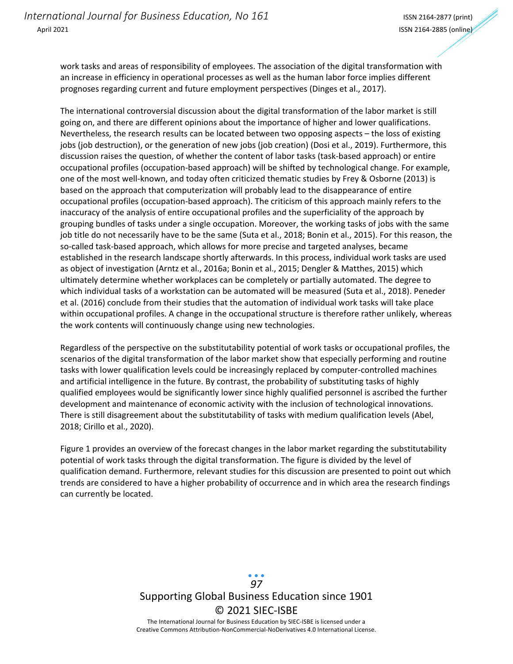work tasks and areas of responsibility of employees. The association of the digital transformation with an increase in efficiency in operational processes as well as the human labor force implies different prognoses regarding current and future employment perspectives (Dinges et al., 2017).

The international controversial discussion about the digital transformation of the labor market is still going on, and there are different opinions about the importance of higher and lower qualifications. Nevertheless, the research results can be located between two opposing aspects – the loss of existing jobs (job destruction), or the generation of new jobs (job creation) (Dosi et al., 2019). Furthermore, this discussion raises the question, of whether the content of labor tasks (task-based approach) or entire occupational profiles (occupation-based approach) will be shifted by technological change. For example, one of the most well-known, and today often criticized thematic studies by Frey & Osborne (2013) is based on the approach that computerization will probably lead to the disappearance of entire occupational profiles (occupation-based approach). The criticism of this approach mainly refers to the inaccuracy of the analysis of entire occupational profiles and the superficiality of the approach by grouping bundles of tasks under a single occupation. Moreover, the working tasks of jobs with the same job title do not necessarily have to be the same (Suta et al., 2018; Bonin et al., 2015). For this reason, the so-called task-based approach, which allows for more precise and targeted analyses, became established in the research landscape shortly afterwards. In this process, individual work tasks are used as object of investigation (Arntz et al., 2016a; Bonin et al., 2015; Dengler & Matthes, 2015) which ultimately determine whether workplaces can be completely or partially automated. The degree to which individual tasks of a workstation can be automated will be measured (Suta et al., 2018). Peneder et al. (2016) conclude from their studies that the automation of individual work tasks will take place within occupational profiles. A change in the occupational structure is therefore rather unlikely, whereas the work contents will continuously change using new technologies.

Regardless of the perspective on the substitutability potential of work tasks or occupational profiles, the scenarios of the digital transformation of the labor market show that especially performing and routine tasks with lower qualification levels could be increasingly replaced by computer-controlled machines and artificial intelligence in the future. By contrast, the probability of substituting tasks of highly qualified employees would be significantly lower since highly qualified personnel is ascribed the further development and maintenance of economic activity with the inclusion of technological innovations. There is still disagreement about the substitutability of tasks with medium qualification levels (Abel, 2018; Cirillo et al., 2020).

Figure 1 provides an overview of the forecast changes in the labor market regarding the substitutability potential of work tasks through the digital transformation. The figure is divided by the level of qualification demand. Furthermore, relevant studies for this discussion are presented to point out which trends are considered to have a higher probability of occurrence and in which area the research findings can currently be located.

> Supporting Global Business Education since 1901 © 2021 SIEC-ISBE The International Journal for Business Education by SIEC-ISBE is licensed under a *97*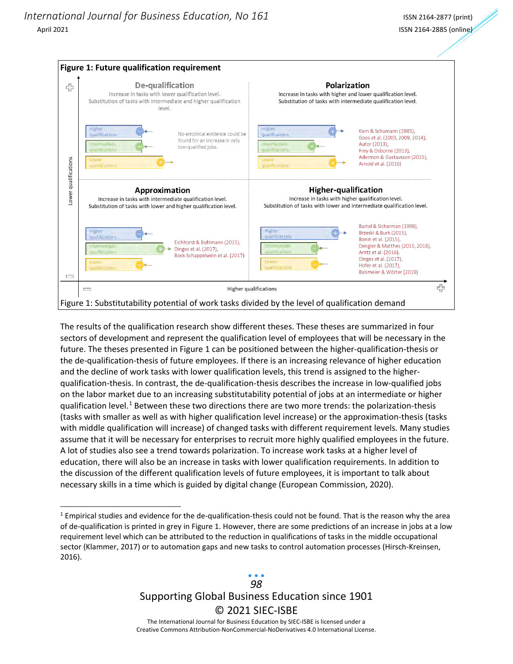

The results of the qualification research show different theses. These theses are summarized in four sectors of development and represent the qualification level of employees that will be necessary in the future. The theses presented in Figure 1 can be positioned between the higher-qualification-thesis or the de-qualification-thesis of future employees. If there is an increasing relevance of higher education and the decline of work tasks with lower qualification levels, this trend is assigned to the higherqualification-thesis. In contrast, the de-qualification-thesis describes the increase in low-qualified jobs on the labor market due to an increasing substitutability potential of jobs at an intermediate or higher qualification level.<sup>[1](#page-3-0)</sup> Between these two directions there are two more trends: the polarization-thesis (tasks with smaller as well as with higher qualification level increase) or the approximation-thesis (tasks with middle qualification will increase) of changed tasks with different requirement levels. Many studies assume that it will be necessary for enterprises to recruit more highly qualified employees in the future. A lot of studies also see a trend towards polarization. To increase work tasks at a higher level of education, there will also be an increase in tasks with lower qualification requirements. In addition to the discussion of the different qualification levels of future employees, it is important to talk about necessary skills in a time which is guided by digital change (European Commission, 2020).

<span id="page-3-0"></span> $1$  Empirical studies and evidence for the de-qualification-thesis could not be found. That is the reason why the area of de-qualification is printed in grey in Figure 1. However, there are some predictions of an increase in jobs at a low requirement level which can be attributed to the reduction in qualifications of tasks in the middle occupational sector (Klammer, 2017) or to automation gaps and new tasks to control automation processes (Hirsch-Kreinsen, 2016).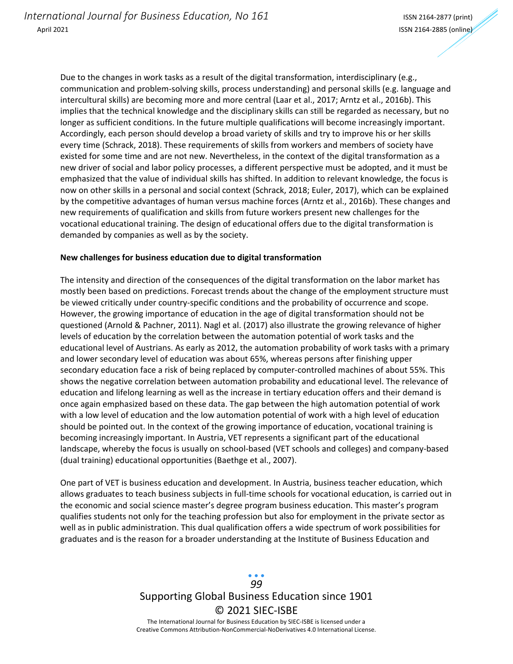Due to the changes in work tasks as a result of the digital transformation, interdisciplinary (e.g., communication and problem-solving skills, process understanding) and personal skills (e.g. language and intercultural skills) are becoming more and more central (Laar et al., 2017; Arntz et al., 2016b). This implies that the technical knowledge and the disciplinary skills can still be regarded as necessary, but no longer as sufficient conditions. In the future multiple qualifications will become increasingly important. Accordingly, each person should develop a broad variety of skills and try to improve his or her skills every time (Schrack, 2018). These requirements of skills from workers and members of society have existed for some time and are not new. Nevertheless, in the context of the digital transformation as a new driver of social and labor policy processes, a different perspective must be adopted, and it must be emphasized that the value of individual skills has shifted. In addition to relevant knowledge, the focus is now on other skills in a personal and social context (Schrack, 2018; Euler, 2017), which can be explained by the competitive advantages of human versus machine forces (Arntz et al., 2016b). These changes and new requirements of qualification and skills from future workers present new challenges for the vocational educational training. The design of educational offers due to the digital transformation is demanded by companies as well as by the society.

### **New challenges for business education due to digital transformation**

The intensity and direction of the consequences of the digital transformation on the labor market has mostly been based on predictions. Forecast trends about the change of the employment structure must be viewed critically under country-specific conditions and the probability of occurrence and scope. However, the growing importance of education in the age of digital transformation should not be questioned (Arnold & Pachner, 2011). Nagl et al. (2017) also illustrate the growing relevance of higher levels of education by the correlation between the automation potential of work tasks and the educational level of Austrians. As early as 2012, the automation probability of work tasks with a primary and lower secondary level of education was about 65%, whereas persons after finishing upper secondary education face a risk of being replaced by computer-controlled machines of about 55%. This shows the negative correlation between automation probability and educational level. The relevance of education and lifelong learning as well as the increase in tertiary education offers and their demand is once again emphasized based on these data. The gap between the high automation potential of work with a low level of education and the low automation potential of work with a high level of education should be pointed out. In the context of the growing importance of education, vocational training is becoming increasingly important. In Austria, VET represents a significant part of the educational landscape, whereby the focus is usually on school-based (VET schools and colleges) and company-based (dual training) educational opportunities (Baethge et al., 2007).

One part of VET is business education and development. In Austria, business teacher education, which allows graduates to teach business subjects in full-time schools for vocational education, is carried out in the economic and social science master's degree program business education. This master's program qualifies students not only for the teaching profession but also for employment in the private sector as well as in public administration. This dual qualification offers a wide spectrum of work possibilities for graduates and is the reason for a broader understanding at the Institute of Business Education and

> Supporting Global Business Education since 1901 © 2021 SIEC-ISBE The International Journal for Business Education by SIEC-ISBE is licensed under a Creative Commons Attribution-NonCommercial-NoDerivatives 4.0 International License. *99*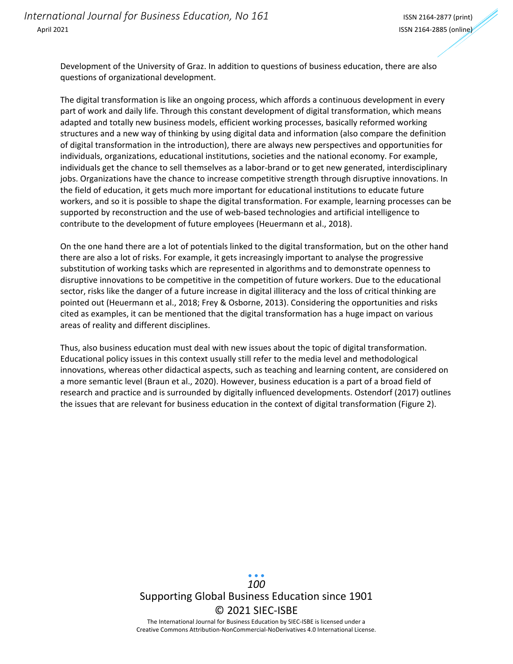Development of the University of Graz. In addition to questions of business education, there are also questions of organizational development.

The digital transformation is like an ongoing process, which affords a continuous development in every part of work and daily life. Through this constant development of digital transformation, which means adapted and totally new business models, efficient working processes, basically reformed working structures and a new way of thinking by using digital data and information (also compare the definition of digital transformation in the introduction), there are always new perspectives and opportunities for individuals, organizations, educational institutions, societies and the national economy. For example, individuals get the chance to sell themselves as a labor-brand or to get new generated, interdisciplinary jobs. Organizations have the chance to increase competitive strength through disruptive innovations. In the field of education, it gets much more important for educational institutions to educate future workers, and so it is possible to shape the digital transformation. For example, learning processes can be supported by reconstruction and the use of web-based technologies and artificial intelligence to contribute to the development of future employees (Heuermann et al., 2018).

On the one hand there are a lot of potentials linked to the digital transformation, but on the other hand there are also a lot of risks. For example, it gets increasingly important to analyse the progressive substitution of working tasks which are represented in algorithms and to demonstrate openness to disruptive innovations to be competitive in the competition of future workers. Due to the educational sector, risks like the danger of a future increase in digital illiteracy and the loss of critical thinking are pointed out (Heuermann et al., 2018; Frey & Osborne, 2013). Considering the opportunities and risks cited as examples, it can be mentioned that the digital transformation has a huge impact on various areas of reality and different disciplines.

Thus, also business education must deal with new issues about the topic of digital transformation. Educational policy issues in this context usually still refer to the media level and methodological innovations, whereas other didactical aspects, such as teaching and learning content, are considered on a more semantic level (Braun et al., 2020). However, business education is a part of a broad field of research and practice and is surrounded by digitally influenced developments. Ostendorf (2017) outlines the issues that are relevant for business education in the context of digital transformation (Figure 2).

# Supporting Global Business Education since 1901 © 2021 SIEC-ISBE The International Journal for Business Education by SIEC-ISBE is licensed under a *100*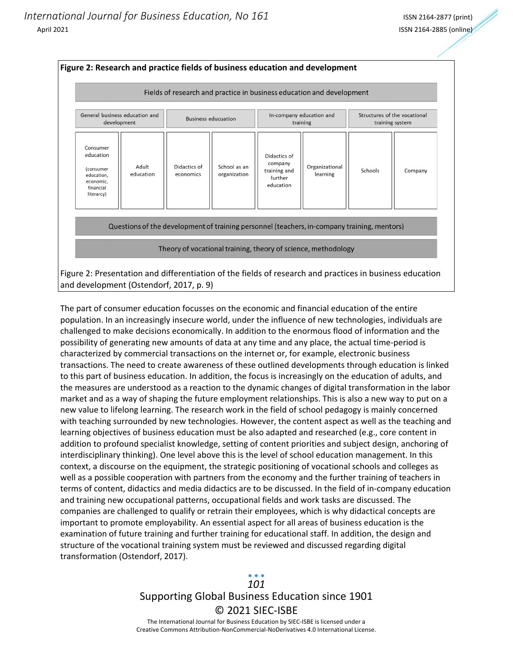

The part of consumer education focusses on the economic and financial education of the entire population. In an increasingly insecure world, under the influence of new technologies, individuals are challenged to make decisions economically. In addition to the enormous flood of information and the possibility of generating new amounts of data at any time and any place, the actual time-period is characterized by commercial transactions on the internet or, for example, electronic business transactions. The need to create awareness of these outlined developments through education is linked to this part of business education. In addition, the focus is increasingly on the education of adults, and the measures are understood as a reaction to the dynamic changes of digital transformation in the labor market and as a way of shaping the future employment relationships. This is also a new way to put on a new value to lifelong learning. The research work in the field of school pedagogy is mainly concerned with teaching surrounded by new technologies. However, the content aspect as well as the teaching and learning objectives of business education must be also adapted and researched (e.g., core content in addition to profound specialist knowledge, setting of content priorities and subject design, anchoring of interdisciplinary thinking). One level above this is the level of school education management. In this context, a discourse on the equipment, the strategic positioning of vocational schools and colleges as well as a possible cooperation with partners from the economy and the further training of teachers in terms of content, didactics and media didactics are to be discussed. In the field of in-company education and training new occupational patterns, occupational fields and work tasks are discussed. The companies are challenged to qualify or retrain their employees, which is why didactical concepts are important to promote employability. An essential aspect for all areas of business education is the examination of future training and further training for educational staff. In addition, the design and structure of the vocational training system must be reviewed and discussed regarding digital transformation (Ostendorf, 2017).

# Supporting Global Business Education since 1901 © 2021 SIEC-ISBE *101*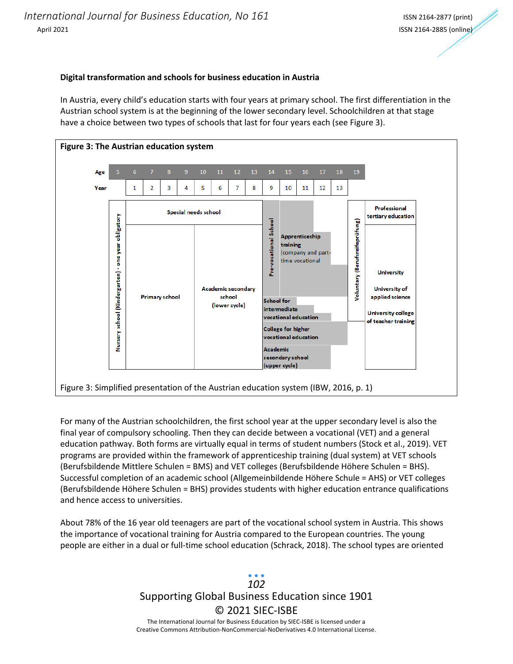### **Digital transformation and schools for business education in Austria**

In Austria, every child's education starts with four years at primary school. The first differentiation in the Austrian school system is at the beginning of the lower secondary level. Schoolchildren at that stage have a choice between two types of schools that last for four years each (see Figure 3).



For many of the Austrian schoolchildren, the first school year at the upper secondary level is also the final year of compulsory schooling. Then they can decide between a vocational (VET) and a general education pathway. Both forms are virtually equal in terms of student numbers (Stock et al., 2019). VET programs are provided within the framework of apprenticeship training (dual system) at VET schools (Berufsbildende Mittlere Schulen = BMS) and VET colleges (Berufsbildende Höhere Schulen = BHS). Successful completion of an academic school (Allgemeinbildende Höhere Schule = AHS) or VET colleges (Berufsbildende Höhere Schulen = BHS) provides students with higher education entrance qualifications and hence access to universities.

About 78% of the 16 year old teenagers are part of the vocational school system in Austria. This shows the importance of vocational training for Austria compared to the European countries. The young people are either in a dual or full-time school education (Schrack, 2018). The school types are oriented

## Supporting Global Business Education since 1901 © 2021 SIEC-ISBE The International Journal for Business Education by SIEC-ISBE is licensed under a Creative Commons Attribution-NonCommercial-NoDerivatives 4.0 International License. *102*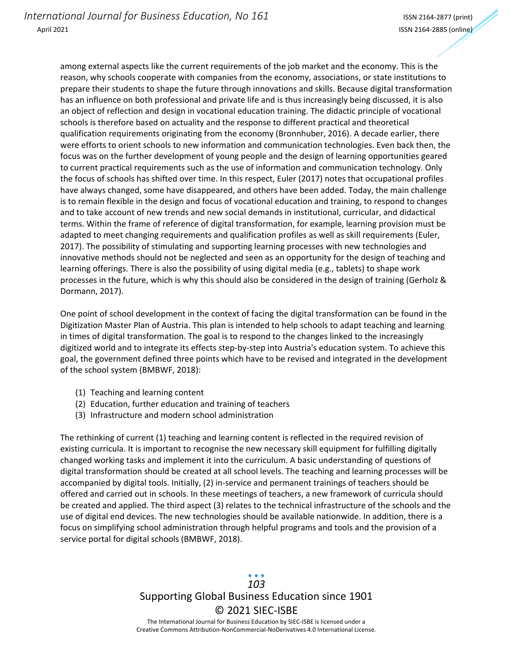among external aspects like the current requirements of the job market and the economy. This is the reason, why schools cooperate with companies from the economy, associations, or state institutions to prepare their students to shape the future through innovations and skills. Because digital transformation has an influence on both professional and private life and is thus increasingly being discussed, it is also an object of reflection and design in vocational education training. The didactic principle of vocational schools is therefore based on actuality and the response to different practical and theoretical qualification requirements originating from the economy (Bronnhuber, 2016). A decade earlier, there were efforts to orient schools to new information and communication technologies. Even back then, the focus was on the further development of young people and the design of learning opportunities geared to current practical requirements such as the use of information and communication technology. Only the focus of schools has shifted over time. In this respect, Euler (2017) notes that occupational profiles have always changed, some have disappeared, and others have been added. Today, the main challenge is to remain flexible in the design and focus of vocational education and training, to respond to changes and to take account of new trends and new social demands in institutional, curricular, and didactical terms. Within the frame of reference of digital transformation, for example, learning provision must be adapted to meet changing requirements and qualification profiles as well as skill requirements (Euler, 2017). The possibility of stimulating and supporting learning processes with new technologies and innovative methods should not be neglected and seen as an opportunity for the design of teaching and learning offerings. There is also the possibility of using digital media (e.g., tablets) to shape work processes in the future, which is why this should also be considered in the design of training (Gerholz & Dormann, 2017).

One point of school development in the context of facing the digital transformation can be found in the Digitization Master Plan of Austria. This plan is intended to help schools to adapt teaching and learning in times of digital transformation. The goal is to respond to the changes linked to the increasingly digitized world and to integrate its effects step-by-step into Austria's education system. To achieve this goal, the government defined three points which have to be revised and integrated in the development of the school system (BMBWF, 2018):

- (1) Teaching and learning content
- (2) Education, further education and training of teachers
- (3) Infrastructure and modern school administration

The rethinking of current (1) teaching and learning content is reflected in the required revision of existing curricula. It is important to recognise the new necessary skill equipment for fulfilling digitally changed working tasks and implement it into the curriculum. A basic understanding of questions of digital transformation should be created at all school levels. The teaching and learning processes will be accompanied by digital tools. Initially, (2) in-service and permanent trainings of teachers should be offered and carried out in schools. In these meetings of teachers, a new framework of curricula should be created and applied. The third aspect (3) relates to the technical infrastructure of the schools and the use of digital end devices. The new technologies should be available nationwide. In addition, there is a focus on simplifying school administration through helpful programs and tools and the provision of a service portal for digital schools (BMBWF, 2018).

# Supporting Global Business Education since 1901 © 2021 SIEC-ISBE *103*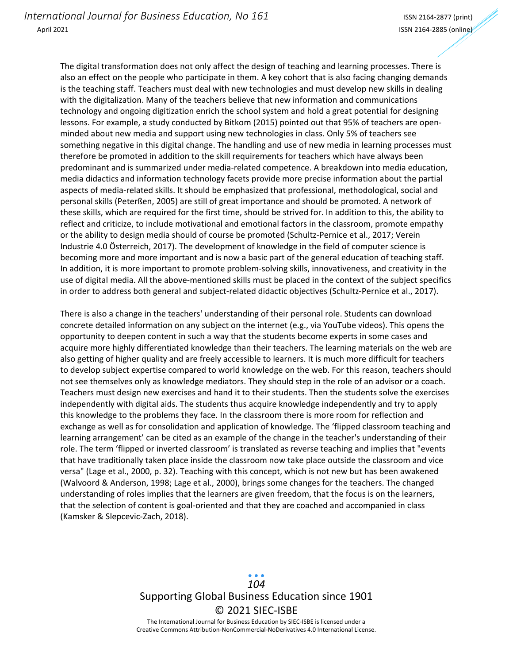The digital transformation does not only affect the design of teaching and learning processes. There is also an effect on the people who participate in them. A key cohort that is also facing changing demands is the teaching staff. Teachers must deal with new technologies and must develop new skills in dealing with the digitalization. Many of the teachers believe that new information and communications technology and ongoing digitization enrich the school system and hold a great potential for designing lessons. For example, a study conducted by Bitkom (2015) pointed out that 95% of teachers are openminded about new media and support using new technologies in class. Only 5% of teachers see something negative in this digital change. The handling and use of new media in learning processes must therefore be promoted in addition to the skill requirements for teachers which have always been predominant and is summarized under media-related competence. A breakdown into media education, media didactics and information technology facets provide more precise information about the partial aspects of media-related skills. It should be emphasized that professional, methodological, social and personal skills (Peterßen, 2005) are still of great importance and should be promoted. A network of these skills, which are required for the first time, should be strived for. In addition to this, the ability to reflect and criticize, to include motivational and emotional factors in the classroom, promote empathy or the ability to design media should of course be promoted (Schultz-Pernice et al., 2017; Verein Industrie 4.0 Österreich, 2017). The development of knowledge in the field of computer science is becoming more and more important and is now a basic part of the general education of teaching staff. In addition, it is more important to promote problem-solving skills, innovativeness, and creativity in the use of digital media. All the above-mentioned skills must be placed in the context of the subject specifics in order to address both general and subject-related didactic objectives (Schultz-Pernice et al., 2017).

There is also a change in the teachers' understanding of their personal role. Students can download concrete detailed information on any subject on the internet (e.g., via YouTube videos). This opens the opportunity to deepen content in such a way that the students become experts in some cases and acquire more highly differentiated knowledge than their teachers. The learning materials on the web are also getting of higher quality and are freely accessible to learners. It is much more difficult for teachers to develop subject expertise compared to world knowledge on the web. For this reason, teachers should not see themselves only as knowledge mediators. They should step in the role of an advisor or a coach. Teachers must design new exercises and hand it to their students. Then the students solve the exercises independently with digital aids. The students thus acquire knowledge independently and try to apply this knowledge to the problems they face. In the classroom there is more room for reflection and exchange as well as for consolidation and application of knowledge. The 'flipped classroom teaching and learning arrangement' can be cited as an example of the change in the teacher's understanding of their role. The term 'flipped or inverted classroom' is translated as reverse teaching and implies that "events that have traditionally taken place inside the classroom now take place outside the classroom and vice versa" (Lage et al., 2000, p. 32). Teaching with this concept, which is not new but has been awakened (Walvoord & Anderson, 1998; Lage et al., 2000), brings some changes for the teachers. The changed understanding of roles implies that the learners are given freedom, that the focus is on the learners, that the selection of content is goal-oriented and that they are coached and accompanied in class (Kamsker & Slepcevic-Zach, 2018).

## Supporting Global Business Education since 1901 © 2021 SIEC-ISBE The International Journal for Business Education by SIEC-ISBE is licensed under a *104*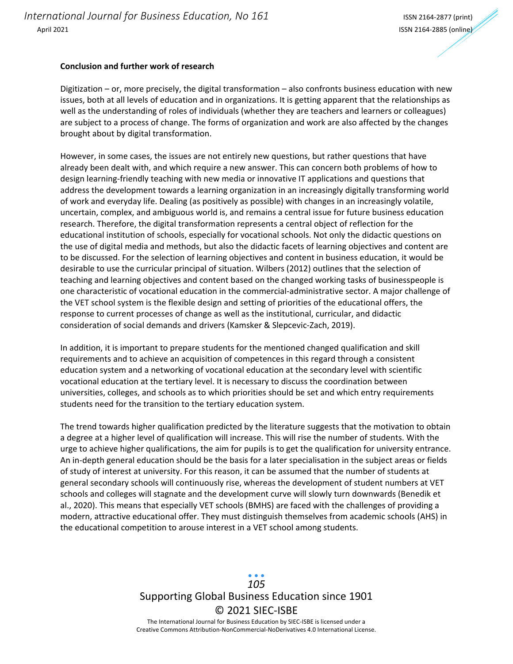#### **Conclusion and further work of research**

Digitization – or, more precisely, the digital transformation – also confronts business education with new issues, both at all levels of education and in organizations. It is getting apparent that the relationships as well as the understanding of roles of individuals (whether they are teachers and learners or colleagues) are subject to a process of change. The forms of organization and work are also affected by the changes brought about by digital transformation.

However, in some cases, the issues are not entirely new questions, but rather questions that have already been dealt with, and which require a new answer. This can concern both problems of how to design learning-friendly teaching with new media or innovative IT applications and questions that address the development towards a learning organization in an increasingly digitally transforming world of work and everyday life. Dealing (as positively as possible) with changes in an increasingly volatile, uncertain, complex, and ambiguous world is, and remains a central issue for future business education research. Therefore, the digital transformation represents a central object of reflection for the educational institution of schools, especially for vocational schools. Not only the didactic questions on the use of digital media and methods, but also the didactic facets of learning objectives and content are to be discussed. For the selection of learning objectives and content in business education, it would be desirable to use the curricular principal of situation. Wilbers (2012) outlines that the selection of teaching and learning objectives and content based on the changed working tasks of businesspeople is one characteristic of vocational education in the commercial-administrative sector. A major challenge of the VET school system is the flexible design and setting of priorities of the educational offers, the response to current processes of change as well as the institutional, curricular, and didactic consideration of social demands and drivers (Kamsker & Slepcevic-Zach, 2019).

In addition, it is important to prepare students for the mentioned changed qualification and skill requirements and to achieve an acquisition of competences in this regard through a consistent education system and a networking of vocational education at the secondary level with scientific vocational education at the tertiary level. It is necessary to discuss the coordination between universities, colleges, and schools as to which priorities should be set and which entry requirements students need for the transition to the tertiary education system.

The trend towards higher qualification predicted by the literature suggests that the motivation to obtain a degree at a higher level of qualification will increase. This will rise the number of students. With the urge to achieve higher qualifications, the aim for pupils is to get the qualification for university entrance. An in-depth general education should be the basis for a later specialisation in the subject areas or fields of study of interest at university. For this reason, it can be assumed that the number of students at general secondary schools will continuously rise, whereas the development of student numbers at VET schools and colleges will stagnate and the development curve will slowly turn downwards (Benedik et al., 2020). This means that especially VET schools (BMHS) are faced with the challenges of providing a modern, attractive educational offer. They must distinguish themselves from academic schools (AHS) in the educational competition to arouse interest in a VET school among students.

> Supporting Global Business Education since 1901 © 2021 SIEC-ISBE The International Journal for Business Education by SIEC-ISBE is licensed under a Creative Commons Attribution-NonCommercial-NoDerivatives 4.0 International License. *105*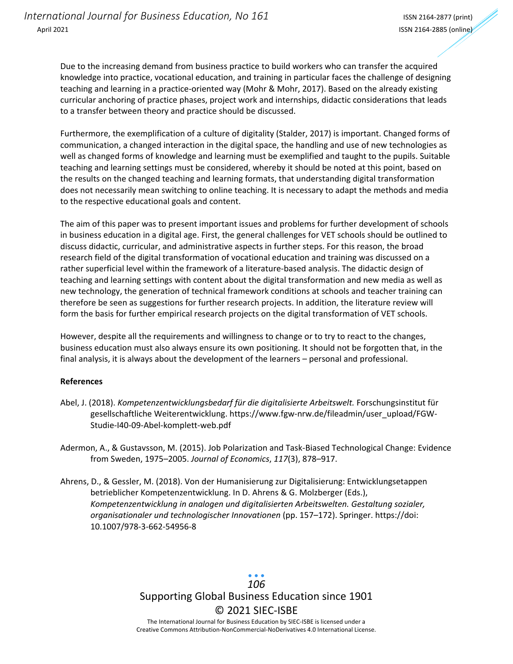Due to the increasing demand from business practice to build workers who can transfer the acquired knowledge into practice, vocational education, and training in particular faces the challenge of designing teaching and learning in a practice-oriented way (Mohr & Mohr, 2017). Based on the already existing curricular anchoring of practice phases, project work and internships, didactic considerations that leads to a transfer between theory and practice should be discussed.

Furthermore, the exemplification of a culture of digitality (Stalder, 2017) is important. Changed forms of communication, a changed interaction in the digital space, the handling and use of new technologies as well as changed forms of knowledge and learning must be exemplified and taught to the pupils. Suitable teaching and learning settings must be considered, whereby it should be noted at this point, based on the results on the changed teaching and learning formats, that understanding digital transformation does not necessarily mean switching to online teaching. It is necessary to adapt the methods and media to the respective educational goals and content.

The aim of this paper was to present important issues and problems for further development of schools in business education in a digital age. First, the general challenges for VET schools should be outlined to discuss didactic, curricular, and administrative aspects in further steps. For this reason, the broad research field of the digital transformation of vocational education and training was discussed on a rather superficial level within the framework of a literature-based analysis. The didactic design of teaching and learning settings with content about the digital transformation and new media as well as new technology, the generation of technical framework conditions at schools and teacher training can therefore be seen as suggestions for further research projects. In addition, the literature review will form the basis for further empirical research projects on the digital transformation of VET schools.

However, despite all the requirements and willingness to change or to try to react to the changes, business education must also always ensure its own positioning. It should not be forgotten that, in the final analysis, it is always about the development of the learners – personal and professional.

### **References**

- Abel, J. (2018). *Kompetenzentwicklungsbedarf für die digitalisierte Arbeitswelt.* Forschungsinstitut für gesellschaftliche Weiterentwicklung. https://www.fgw-nrw.de/fileadmin/user\_upload/FGW-Studie-I40-09-Abel-komplett-web.pdf
- Adermon, A., & Gustavsson, M. (2015). Job Polarization and Task-Biased Technological Change: Evidence from Sweden, 1975–2005. *Journal of Economics*, *117*(3), 878–917.
- Ahrens, D., & Gessler, M. (2018). Von der Humanisierung zur Digitalisierung: Entwicklungsetappen betrieblicher Kompetenzentwicklung. In D. Ahrens & G. Molzberger (Eds.), *Kompetenzentwicklung in analogen und digitalisierten Arbeitswelten. Gestaltung sozialer, organisationaler und technologischer Innovationen* (pp. 157–172). Springer. https://doi: 10.1007/978-3-662-54956-8

Supporting Global Business Education since 1901 © 2021 SIEC-ISBE The International Journal for Business Education by SIEC-ISBE is licensed under a *106*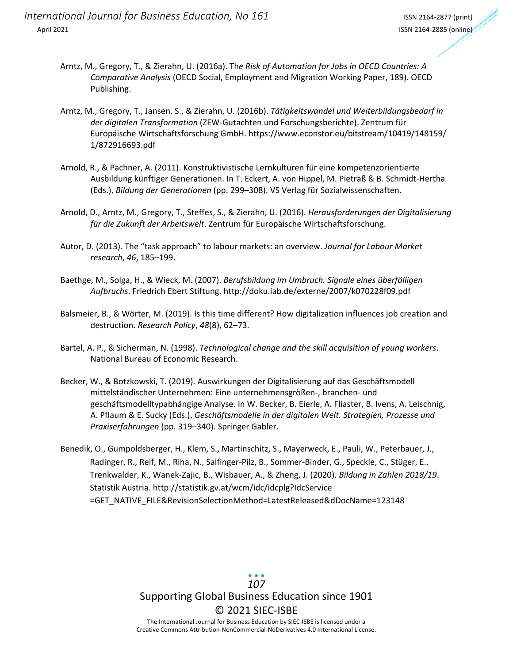- Arntz, M., Gregory, T., & Zierahn, U. (2016a). Th*e Risk of Automation for Jobs in OECD Countries: A Comparative Analysis* (OECD Social, Employment and Migration Working Paper, 189). OECD Publishing.
- Arntz, M., Gregory, T., Jansen, S., & Zierahn, U. (2016b). *Tätigkeitswandel und Weiterbildungsbedarf in der digitalen Transformation* (ZEW-Gutachten und Forschungsberichte). Zentrum für Europäische Wirtschaftsforschung GmbH. https://www.econstor.eu/bitstream/10419/148159/ 1/872916693.pdf
- Arnold, R., & Pachner, A. (2011). Konstruktivistische Lernkulturen für eine kompetenzorientierte Ausbildung künftiger Generationen. In T. Eckert, A. von Hippel, M. Pietraß & B. Schmidt-Hertha (Eds.), *Bildung der Generationen* (pp. 299–308). VS Verlag für Sozialwissenschaften.
- Arnold, D., Arntz, M., Gregory, T., Steffes, S., & Zierahn, U. (2016). *Herausforderungen der Digitalisierung für die Zukunft der Arbeitswelt*. Zentrum für Europäische Wirtschaftsforschung.
- Autor, D. (2013). The "task approach" to labour markets: an overview. *Journal for Labour Market research*, *46*, 185–199.
- Baethge, M., Solga, H., & Wieck, M. (2007). *Berufsbildung im Umbruch. Signale eines überfälligen Aufbruchs*. Friedrich Ebert Stiftung. http://doku.iab.de/externe/2007/k070228f09.pdf
- Balsmeier, B., & Wörter, M. (2019). Is this time different? How digitalization influences job creation and destruction. *Research Policy*, *48*(8), 62–73.
- Bartel, A. P., & Sicherman, N. (1998). *Technological change and the skill acquisition of young workers*. National Bureau of Economic Research.
- Becker, W., & Botzkowski, T. (2019). Auswirkungen der Digitalisierung auf das Geschäftsmodell mittelständischer Unternehmen: Eine unternehmensgrößen-, branchen- und geschäftsmodelltypabhängige Analyse. In W. Becker, B. Eierle, A. Fliaster, B. Ivens, A. Leischnig, A. Pflaum & E. Sucky (Eds.), *Geschäftsmodelle in der digitalen Welt. Strategien, Prozesse und Praxiserfahrungen* (pp. 319–340). Springer Gabler.
- Benedik, O., Gumpoldsberger, H., Klem, S., Martinschitz, S., Mayerweck, E., Pauli, W., Peterbauer, J., Radinger, R., Reif, M., Riha, N., Salfinger-Pilz, B., Sommer-Binder, G., Speckle, C., Stüger, E., Trenkwalder, K., Wanek-Zajic, B., Wisbauer, A., & Zheng, J. (2020). *Bildung in Zahlen 2018/19*. Statistik Austria. http://statistik.gv.at/wcm/idc/idcplg?IdcService =GET\_NATIVE\_FILE&RevisionSelectionMethod=LatestReleased&dDocName=123148

## Supporting Global Business Education since 1901 © 2021 SIEC-ISBE The International Journal for Business Education by SIEC-ISBE is licensed under a *107*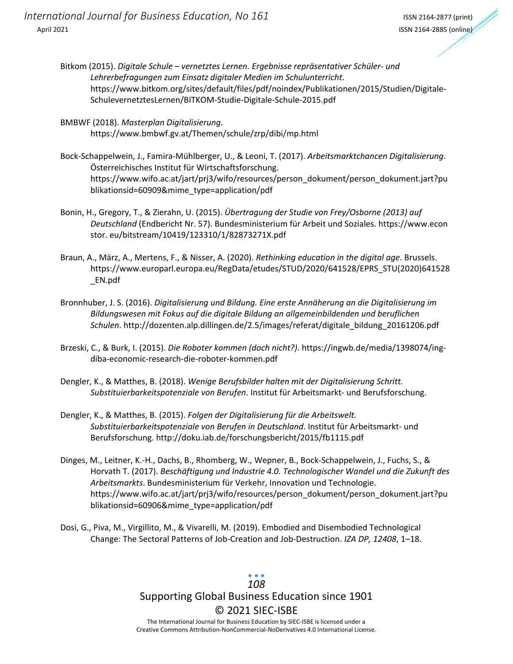- Bitkom (2015). *Digitale Schule vernetztes Lernen. Ergebnisse repräsentativer Schüler- und Lehrerbefragungen zum Einsatz digitaler Medien im Schulunterricht*. https://www.bitkom.org/sites/default/files/pdf/noindex/Publikationen/2015/Studien/Digitale-SchulevernetztesLernen/BITKOM-Studie-Digitale-Schule-2015.pdf
- BMBWF (2018). *Masterplan Digitalisierung*. https://www.bmbwf.gv.at/Themen/schule/zrp/dibi/mp.html
- Bock-Schappelwein, J., Famira-Mühlberger, U., & Leoni, T. (2017). *Arbeitsmarktchancen Digitalisierung*. Österreichisches Institut für Wirtschaftsforschung. https://www.wifo.ac.at/jart/prj3/wifo/resources/person\_dokument/person\_dokument.jart?pu blikationsid=60909&mime\_type=application/pdf
- Bonin, H., Gregory, T., & Zierahn, U. (2015). *Übertragung der Studie von Frey/Osborne (2013) auf Deutschland* (Endbericht Nr. 57). Bundesministerium für Arbeit und Soziales. https://www.econ stor. eu/bitstream/10419/123310/1/82873271X.pdf
- Braun, A., März, A., Mertens, F., & Nisser, A. (2020). *Rethinking education in the digital age*. Brussels. https://www.europarl.europa.eu/RegData/etudes/STUD/2020/641528/EPRS\_STU(2020)641528 \_EN.pdf
- Bronnhuber, J. S. (2016). *Digitalisierung und Bildung. Eine erste Annäherung an die Digitalisierung im Bildungswesen mit Fokus auf die digitale Bildung an allgemeinbildenden und beruflichen Schulen*. http://dozenten.alp.dillingen.de/2.5/images/referat/digitale\_bildung\_20161206.pdf
- Brzeski, C., & Burk, I. (2015). *Die Roboter kommen (doch nicht?)*. https://ingwb.de/media/1398074/ingdiba-economic-research-die-roboter-kommen.pdf
- Dengler, K., & Matthes, B. (2018). *Wenige Berufsbilder halten mit der Digitalisierung Schritt. Substituierbarkeitspotenziale von Berufen*. Institut für Arbeitsmarkt- und Berufsforschung.
- Dengler, K., & Matthes, B. (2015). *Folgen der Digitalisierung für die Arbeitswelt. Substituierbarkeitspotenziale von Berufen in Deutschland*. Institut für Arbeitsmarkt- und Berufsforschung. http://doku.iab.de/forschungsbericht/2015/fb1115.pdf
- Dinges, M., Leitner, K.-H., Dachs, B., Rhomberg, W., Wepner, B., Bock-Schappelwein, J., Fuchs, S., & Horvath T. (2017). *Beschäftigung und Industrie 4.0. Technologischer Wandel und die Zukunft des Arbeitsmarkts*. Bundesministerium für Verkehr, Innovation und Technologie. https://www.wifo.ac.at/jart/prj3/wifo/resources/person\_dokument/person\_dokument.jart?pu blikationsid=60906&mime\_type=application/pdf
- Dosi, G., Piva, M., Virgillito, M., & Vivarelli, M. (2019). Embodied and Disembodied Technological Change: The Sectoral Patterns of Job-Creation and Job-Destruction. *IZA DP, 12408*, 1–18.

Supporting Global Business Education since 1901 © 2021 SIEC-ISBE The International Journal for Business Education by SIEC-ISBE is licensed under a *108*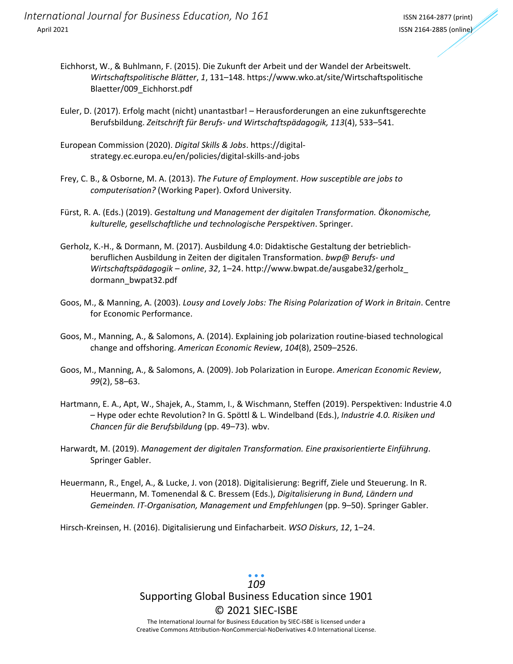- Eichhorst, W., & Buhlmann, F. (2015). Die Zukunft der Arbeit und der Wandel der Arbeitswelt. *Wirtschaftspolitische Blätter*, *1*, 131–148. https://www.wko.at/site/Wirtschaftspolitische Blaetter/009\_Eichhorst.pdf
- Euler, D. (2017). Erfolg macht (nicht) unantastbar! Herausforderungen an eine zukunftsgerechte Berufsbildung. *Zeitschrift für Berufs- und Wirtschaftspädagogik, 113*(4), 533–541.
- European Commission (2020). *Digital Skills & Jobs*. https://digitalstrategy.ec.europa.eu/en/policies/digital-skills-and-jobs
- Frey, C. B., & Osborne, M. A. (2013). *The Future of Employment*. *How susceptible are jobs to computerisation?* (Working Paper). Oxford University.
- Fürst, R. A. (Eds.) (2019). *Gestaltung und Management der digitalen Transformation. Ökonomische, kulturelle, gesellschaftliche und technologische Perspektiven*. Springer.
- Gerholz, K.-H., & Dormann, M. (2017). Ausbildung 4.0: Didaktische Gestaltung der betrieblichberuflichen Ausbildung in Zeiten der digitalen Transformation. *bwp@ Berufs- und Wirtschaftspädagogik – online*, *32*, 1–24. http://www.bwpat.de/ausgabe32/gerholz\_ dormann\_bwpat32.pdf
- Goos, M., & Manning, A. (2003). *Lousy and Lovely Jobs: The Rising Polarization of Work in Britain*. Centre for Economic Performance.
- Goos, M., Manning, A., & Salomons, A. (2014). Explaining job polarization routine-biased technological change and offshoring. *American Economic Review*, *104*(8), 2509–2526.
- Goos, M., Manning, A., & Salomons, A. (2009). Job Polarization in Europe. *American Economic Review*, *99*(2), 58–63.
- Hartmann, E. A., Apt, W., Shajek, A., Stamm, I., & Wischmann, Steffen (2019). Perspektiven: Industrie 4.0 – Hype oder echte Revolution? In G. Spöttl & L. Windelband (Eds.), *Industrie 4.0. Risiken und Chancen für die Berufsbildung* (pp. 49–73). wbv.
- Harwardt, M. (2019). *Management der digitalen Transformation. Eine praxisorientierte Einführung*. Springer Gabler.
- Heuermann, R., Engel, A., & Lucke, J. von (2018). Digitalisierung: Begriff, Ziele und Steuerung. In R. Heuermann, M. Tomenendal & C. Bressem (Eds.), *Digitalisierung in Bund, Ländern und Gemeinden. IT-Organisation, Management und Empfehlungen* (pp. 9–50). Springer Gabler.

Hirsch-Kreinsen, H. (2016). Digitalisierung und Einfacharbeit. *WSO Diskurs*, *12*, 1–24.

# Supporting Global Business Education since 1901 © 2021 SIEC-ISBE *109*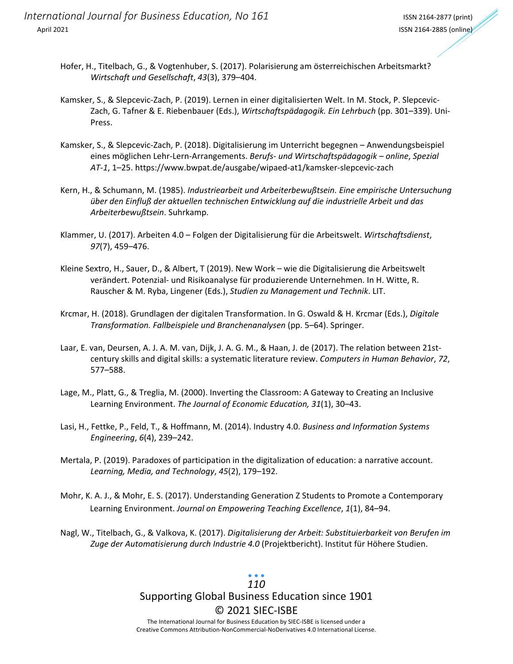- Hofer, H., Titelbach, G., & Vogtenhuber, S. (2017). Polarisierung am österreichischen Arbeitsmarkt? *Wirtschaft und Gesellschaft*, *43*(3), 379–404.
- Kamsker, S., & Slepcevic-Zach, P. (2019). Lernen in einer digitalisierten Welt. In M. Stock, P. Slepcevic-Zach, G. Tafner & E. Riebenbauer (Eds.), *Wirtschaftspädagogik. Ein Lehrbuch* (pp. 301–339). Uni-Press.
- Kamsker, S., & Slepcevic-Zach, P. (2018). Digitalisierung im Unterricht begegnen Anwendungsbeispiel eines möglichen Lehr-Lern-Arrangements. *Berufs- und Wirtschaftspädagogik – online*, *Spezial AT-1*, 1–25. https://www.bwpat.de/ausgabe/wipaed-at1/kamsker-slepcevic-zach
- Kern, H., & Schumann, M. (1985). *Industriearbeit und Arbeiterbewußtsein. Eine empirische Untersuchung über den Einfluß der aktuellen technischen Entwicklung auf die industrielle Arbeit und das Arbeiterbewußtsein*. Suhrkamp.
- Klammer, U. (2017). Arbeiten 4.0 Folgen der Digitalisierung für die Arbeitswelt. *Wirtschaftsdienst*, *97*(7), 459–476.
- Kleine Sextro, H., Sauer, D., & Albert, T (2019). New Work wie die Digitalisierung die Arbeitswelt verändert. Potenzial- und Risikoanalyse für produzierende Unternehmen. In H. Witte, R. Rauscher & M. Ryba, Lingener (Eds.), *Studien zu Management und Technik*. LIT.
- Krcmar, H. (2018). Grundlagen der digitalen Transformation. In G. Oswald & H. Krcmar (Eds.), *Digitale Transformation. Fallbeispiele und Branchenanalysen* (pp. 5–64). Springer.
- Laar, E. van, Deursen, A. J. A. M. van, Dijk, J. A. G. M., & Haan, J. de (2017). The relation between 21stcentury skills and digital skills: a systematic literature review. *Computers in Human Behavior*, *72*, 577–588.
- Lage, M., Platt, G., & Treglia, M. (2000). Inverting the Classroom: A Gateway to Creating an Inclusive Learning Environment. *The Journal of Economic Education, 31*(1), 30–43.
- Lasi, H., Fettke, P., Feld, T., & Hoffmann, M. (2014). Industry 4.0. *Business and Information Systems Engineering*, *6*(4), 239–242.
- Mertala, P. (2019). Paradoxes of participation in the digitalization of education: a narrative account. *Learning, Media, and Technology*, *45*(2), 179–192.
- Mohr, K. A. J., & Mohr, E. S. (2017). Understanding Generation Z Students to Promote a Contemporary Learning Environment. *Journal on Empowering Teaching Excellence*, *1*(1), 84–94.
- Nagl, W., Titelbach, G., & Valkova, K. (2017). *Digitalisierung der Arbeit: Substituierbarkeit von Berufen im Zuge der Automatisierung durch Industrie 4.0* (Projektbericht). Institut für Höhere Studien.

# Supporting Global Business Education since 1901 © 2021 SIEC-ISBE *110*